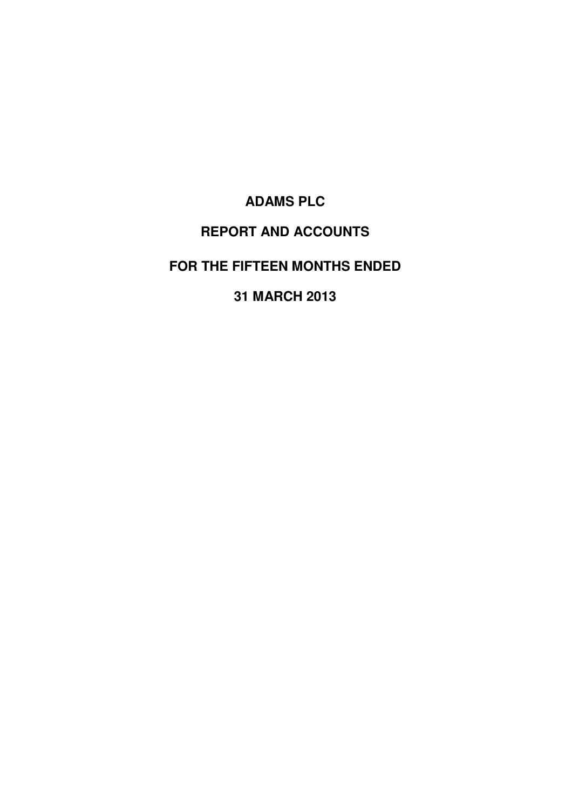**ADAMS PLC REPORT AND ACCOUNTS FOR THE FIFTEEN MONTHS ENDED** 

**31 MARCH 2013**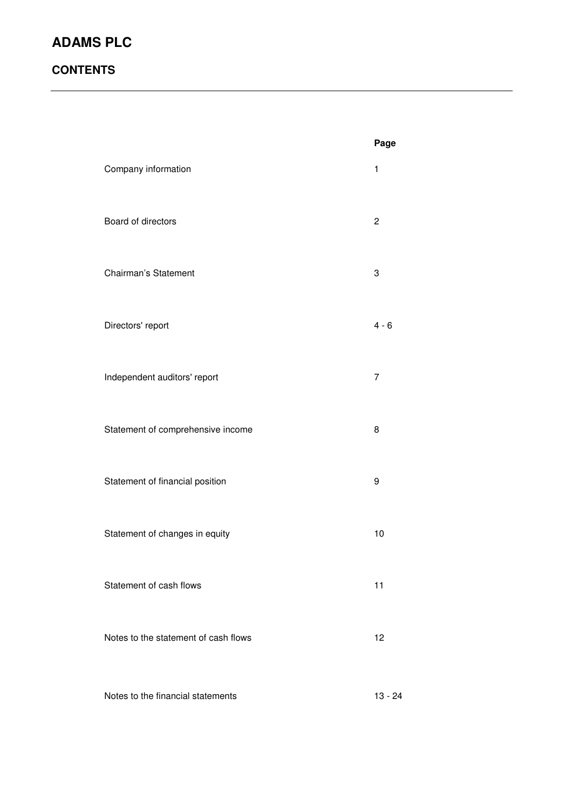## **CONTENTS**

|                                      | Page           |
|--------------------------------------|----------------|
| Company information                  | $\mathbf{1}$   |
| Board of directors                   | $\overline{c}$ |
| Chairman's Statement                 | 3              |
| Directors' report                    | $4 - 6$        |
| Independent auditors' report         | $\overline{7}$ |
| Statement of comprehensive income    | 8              |
| Statement of financial position      | 9              |
| Statement of changes in equity       | 10             |
| Statement of cash flows              | 11             |
| Notes to the statement of cash flows | 12             |
|                                      |                |

Notes to the financial statements 13 - 24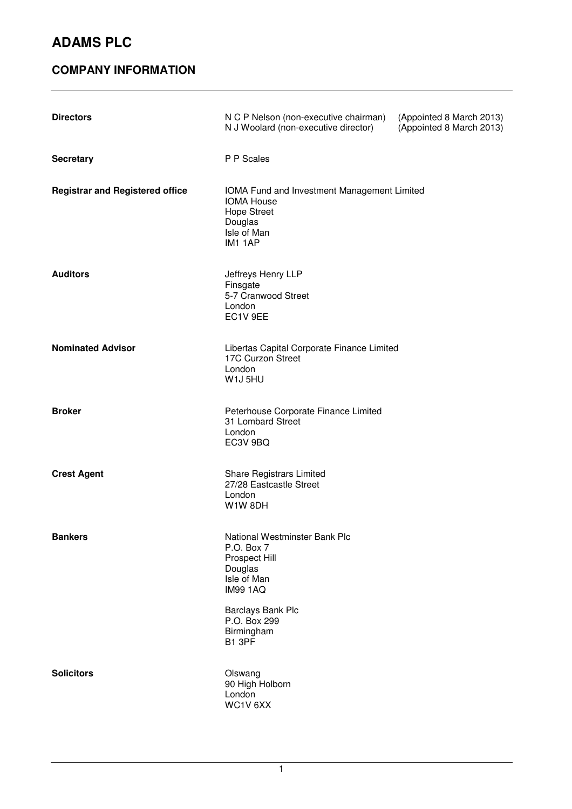## **COMPANY INFORMATION**

| <b>Directors</b>                       | N C P Nelson (non-executive chairman)<br>N J Woolard (non-executive director)                                                  | (Appointed 8 March 2013)<br>(Appointed 8 March 2013) |
|----------------------------------------|--------------------------------------------------------------------------------------------------------------------------------|------------------------------------------------------|
| <b>Secretary</b>                       | P P Scales                                                                                                                     |                                                      |
| <b>Registrar and Registered office</b> | IOMA Fund and Investment Management Limited<br><b>IOMA House</b><br><b>Hope Street</b><br>Douglas<br>Isle of Man<br>IM1 1AP    |                                                      |
| <b>Auditors</b>                        | Jeffreys Henry LLP<br>Finsgate<br>5-7 Cranwood Street<br>London<br>EC1V 9EE                                                    |                                                      |
| <b>Nominated Advisor</b>               | Libertas Capital Corporate Finance Limited<br>17C Curzon Street<br>London<br>W1J 5HU                                           |                                                      |
| <b>Broker</b>                          | Peterhouse Corporate Finance Limited<br>31 Lombard Street<br>London<br>EC3V 9BQ                                                |                                                      |
| <b>Crest Agent</b>                     | <b>Share Registrars Limited</b><br>27/28 Eastcastle Street<br>London<br>W1W8DH                                                 |                                                      |
| <b>Bankers</b>                         | National Westminster Bank Plc<br>P.O. Box 7<br>Prospect Hill<br>Douglas<br>Isle of Man<br><b>IM99 1AQ</b><br>Barclays Bank Plc |                                                      |
|                                        | P.O. Box 299<br>Birmingham<br>B1 3PF                                                                                           |                                                      |
| <b>Solicitors</b>                      | Olswang<br>90 High Holborn<br>London<br>WC1V6XX                                                                                |                                                      |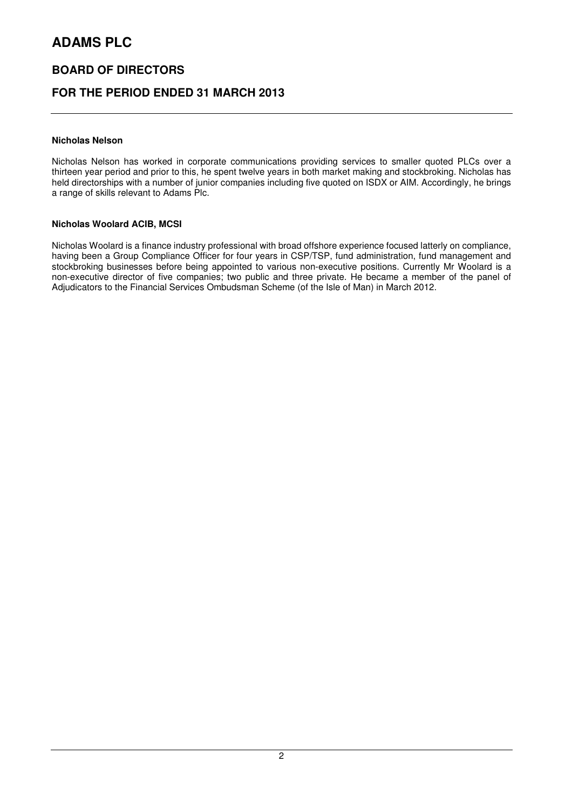### **BOARD OF DIRECTORS**

### **FOR THE PERIOD ENDED 31 MARCH 2013**

#### **Nicholas Nelson**

Nicholas Nelson has worked in corporate communications providing services to smaller quoted PLCs over a thirteen year period and prior to this, he spent twelve years in both market making and stockbroking. Nicholas has held directorships with a number of junior companies including five quoted on ISDX or AIM. Accordingly, he brings a range of skills relevant to Adams Plc.

#### **Nicholas Woolard ACIB, MCSI**

Nicholas Woolard is a finance industry professional with broad offshore experience focused latterly on compliance, having been a Group Compliance Officer for four years in CSP/TSP, fund administration, fund management and stockbroking businesses before being appointed to various non-executive positions. Currently Mr Woolard is a non-executive director of five companies; two public and three private. He became a member of the panel of Adjudicators to the Financial Services Ombudsman Scheme (of the Isle of Man) in March 2012.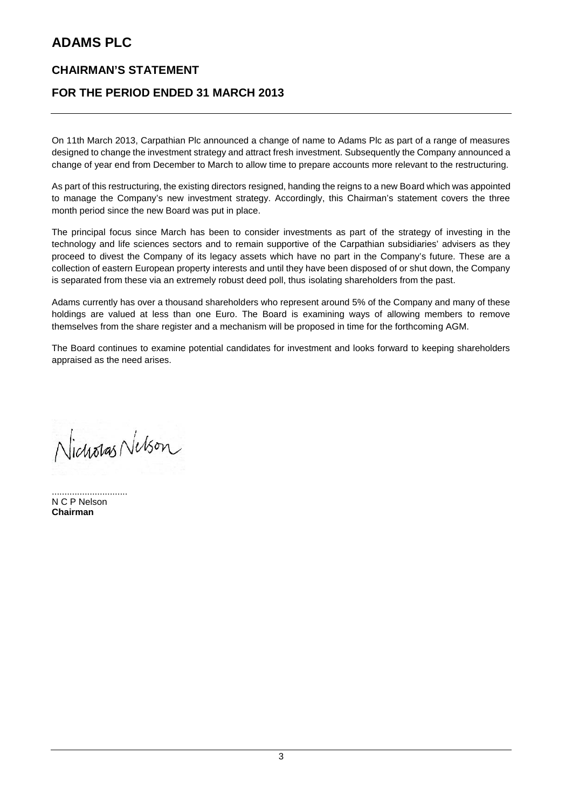## **CHAIRMAN'S STATEMENT**

## **FOR THE PERIOD ENDED 31 MARCH 2013**

On 11th March 2013, Carpathian Plc announced a change of name to Adams Plc as part of a range of measures designed to change the investment strategy and attract fresh investment. Subsequently the Company announced a change of year end from December to March to allow time to prepare accounts more relevant to the restructuring.

As part of this restructuring, the existing directors resigned, handing the reigns to a new Board which was appointed to manage the Company's new investment strategy. Accordingly, this Chairman's statement covers the three month period since the new Board was put in place.

The principal focus since March has been to consider investments as part of the strategy of investing in the technology and life sciences sectors and to remain supportive of the Carpathian subsidiaries' advisers as they proceed to divest the Company of its legacy assets which have no part in the Company's future. These are a collection of eastern European property interests and until they have been disposed of or shut down, the Company is separated from these via an extremely robust deed poll, thus isolating shareholders from the past.

Adams currently has over a thousand shareholders who represent around 5% of the Company and many of these holdings are valued at less than one Euro. The Board is examining ways of allowing members to remove themselves from the share register and a mechanism will be proposed in time for the forthcoming AGM.

The Board continues to examine potential candidates for investment and looks forward to keeping shareholders appraised as the need arises.

Nicholas Nelson

.............................. N C P Nelson **Chairman**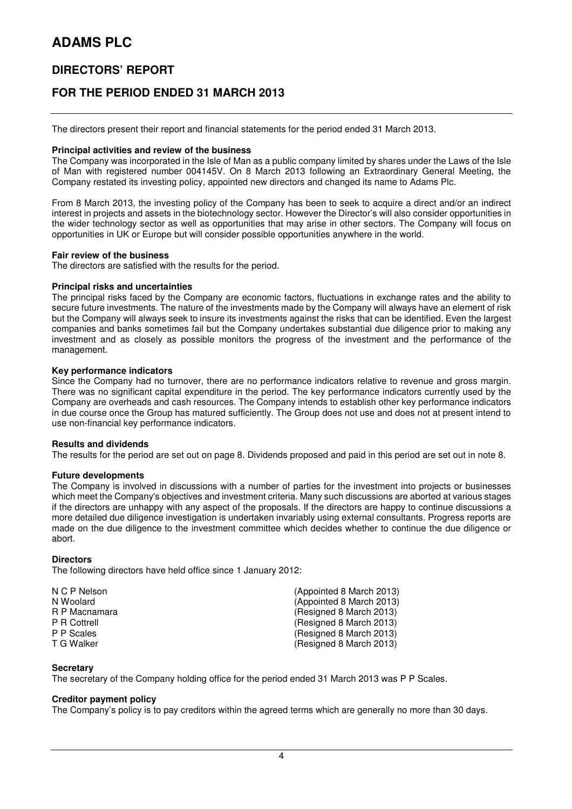## **DIRECTORS' REPORT**

### **FOR THE PERIOD ENDED 31 MARCH 2013**

The directors present their report and financial statements for the period ended 31 March 2013.

#### **Principal activities and review of the business**

The Company was incorporated in the Isle of Man as a public company limited by shares under the Laws of the Isle of Man with registered number 004145V. On 8 March 2013 following an Extraordinary General Meeting, the Company restated its investing policy, appointed new directors and changed its name to Adams Plc.

From 8 March 2013, the investing policy of the Company has been to seek to acquire a direct and/or an indirect interest in projects and assets in the biotechnology sector. However the Director's will also consider opportunities in the wider technology sector as well as opportunities that may arise in other sectors. The Company will focus on opportunities in UK or Europe but will consider possible opportunities anywhere in the world.

#### **Fair review of the business**

The directors are satisfied with the results for the period.

#### **Principal risks and uncertainties**

The principal risks faced by the Company are economic factors, fluctuations in exchange rates and the ability to secure future investments. The nature of the investments made by the Company will always have an element of risk but the Company will always seek to insure its investments against the risks that can be identified. Even the largest companies and banks sometimes fail but the Company undertakes substantial due diligence prior to making any investment and as closely as possible monitors the progress of the investment and the performance of the management.

#### **Key performance indicators**

Since the Company had no turnover, there are no performance indicators relative to revenue and gross margin. There was no significant capital expenditure in the period. The key performance indicators currently used by the Company are overheads and cash resources. The Company intends to establish other key performance indicators in due course once the Group has matured sufficiently. The Group does not use and does not at present intend to use non-financial key performance indicators.

#### **Results and dividends**

The results for the period are set out on page 8. Dividends proposed and paid in this period are set out in note 8.

#### **Future developments**

The Company is involved in discussions with a number of parties for the investment into projects or businesses which meet the Company's objectives and investment criteria. Many such discussions are aborted at various stages if the directors are unhappy with any aspect of the proposals. If the directors are happy to continue discussions a more detailed due diligence investigation is undertaken invariably using external consultants. Progress reports are made on the due diligence to the investment committee which decides whether to continue the due diligence or abort.

#### **Directors**

The following directors have held office since 1 January 2012:

| N C P Nelson  | (Appointed 8 March 2013) |
|---------------|--------------------------|
| N Woolard     | (Appointed 8 March 2013) |
| R P Macnamara | (Resigned 8 March 2013)  |
| P R Cottrell  | (Resigned 8 March 2013)  |
| P P Scales    | (Resigned 8 March 2013)  |
| T G Walker    | (Resigned 8 March 2013)  |

#### **Secretary**

The secretary of the Company holding office for the period ended 31 March 2013 was P P Scales.

#### **Creditor payment policy**

The Company's policy is to pay creditors within the agreed terms which are generally no more than 30 days.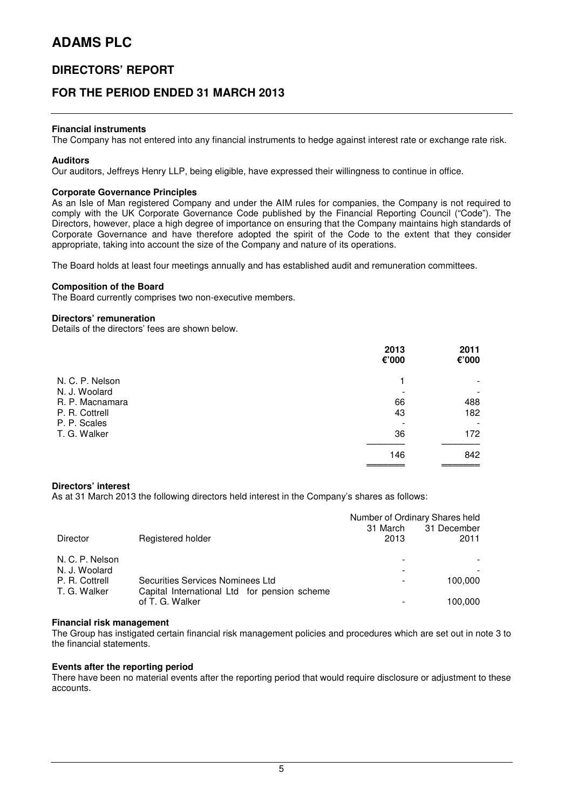### **DIRECTORS' REPORT**

### **FOR THE PERIOD ENDED 31 MARCH 2013**

#### **Financial instruments**

The Company has not entered into any financial instruments to hedge against interest rate or exchange rate risk.

#### **Auditors**

Our auditors, Jeffreys Henry LLP, being eligible, have expressed their willingness to continue in office.

#### **Corporate Governance Principles**

As an Isle of Man registered Company and under the AIM rules for companies, the Company is not required to comply with the UK Corporate Governance Code published by the Financial Reporting Council ("Code"). The Directors, however, place a high degree of importance on ensuring that the Company maintains high standards of Corporate Governance and have therefore adopted the spirit of the Code to the extent that they consider appropriate, taking into account the size of the Company and nature of its operations.

The Board holds at least four meetings annually and has established audit and remuneration committees.

#### **Composition of the Board**

The Board currently comprises two non-executive members.

#### **Directors' remuneration**

Details of the directors' fees are shown below.

|                                  | 2013<br>€'000 | 2011<br>€'000 |
|----------------------------------|---------------|---------------|
| N. C. P. Nelson                  |               |               |
| N. J. Woolard<br>R. P. Macnamara | 66            | 488           |
| P. R. Cottrell<br>P. P. Scales   | 43            | 182           |
| T. G. Walker                     | 36            | 172           |
|                                  | 146           | 842           |

#### **Directors' interest**

As at 31 March 2013 the following directors held interest in the Company's shares as follows:

|                 |                                              | Number of Ordinary Shares held |             |
|-----------------|----------------------------------------------|--------------------------------|-------------|
|                 |                                              | 31 March                       | 31 December |
| Director        | Registered holder                            | 2013                           | 2011        |
|                 |                                              |                                |             |
| N. C. P. Nelson |                                              | ٠                              |             |
| N. J. Woolard   |                                              |                                |             |
| P. R. Cottrell  | Securities Services Nominees Ltd             | $\overline{\phantom{a}}$       | 100,000     |
| T. G. Walker    | Capital International Ltd for pension scheme |                                |             |
|                 | of T. G. Walker                              |                                | 100.000     |

#### **Financial risk management**

The Group has instigated certain financial risk management policies and procedures which are set out in note 3 to the financial statements.

#### **Events after the reporting period**

There have been no material events after the reporting period that would require disclosure or adjustment to these accounts.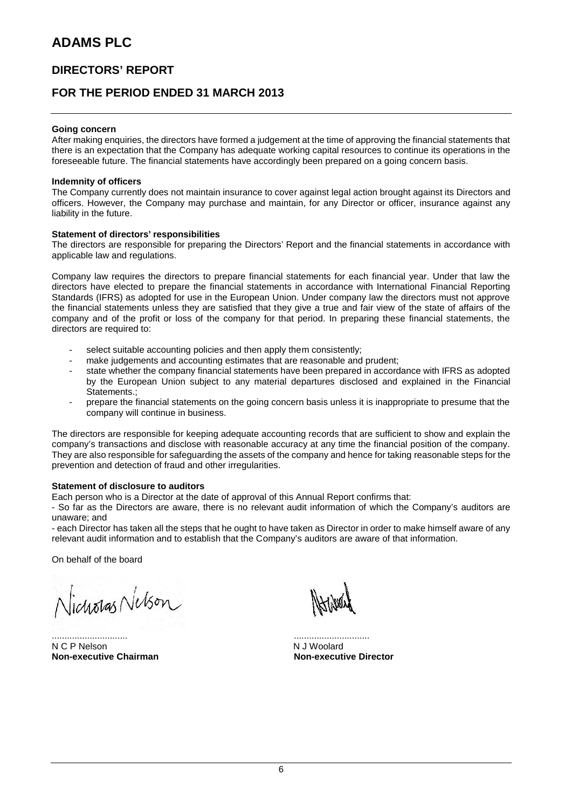### **DIRECTORS' REPORT**

### **FOR THE PERIOD ENDED 31 MARCH 2013**

#### **Going concern**

After making enquiries, the directors have formed a judgement at the time of approving the financial statements that there is an expectation that the Company has adequate working capital resources to continue its operations in the foreseeable future. The financial statements have accordingly been prepared on a going concern basis.

#### **Indemnity of officers**

The Company currently does not maintain insurance to cover against legal action brought against its Directors and officers. However, the Company may purchase and maintain, for any Director or officer, insurance against any liability in the future.

#### **Statement of directors' responsibilities**

The directors are responsible for preparing the Directors' Report and the financial statements in accordance with applicable law and regulations.

Company law requires the directors to prepare financial statements for each financial year. Under that law the directors have elected to prepare the financial statements in accordance with International Financial Reporting Standards (IFRS) as adopted for use in the European Union. Under company law the directors must not approve the financial statements unless they are satisfied that they give a true and fair view of the state of affairs of the company and of the profit or loss of the company for that period. In preparing these financial statements, the directors are required to:

- select suitable accounting policies and then apply them consistently;
- make judgements and accounting estimates that are reasonable and prudent;
- state whether the company financial statements have been prepared in accordance with IFRS as adopted by the European Union subject to any material departures disclosed and explained in the Financial Statements.:
- prepare the financial statements on the going concern basis unless it is inappropriate to presume that the company will continue in business.

The directors are responsible for keeping adequate accounting records that are sufficient to show and explain the company's transactions and disclose with reasonable accuracy at any time the financial position of the company. They are also responsible for safeguarding the assets of the company and hence for taking reasonable steps for the prevention and detection of fraud and other irregularities.

#### **Statement of disclosure to auditors**

Each person who is a Director at the date of approval of this Annual Report confirms that:

- So far as the Directors are aware, there is no relevant audit information of which the Company's auditors are unaware; and

- each Director has taken all the steps that he ought to have taken as Director in order to make himself aware of any relevant audit information and to establish that the Company's auditors are aware of that information.

On behalf of the board

*licholas Nelson* 

.............................. .............................. N C P Nelson<br> **N J Woolard**<br> **Non-executive Chairman**<br> **Non-executive Chairman Non-executive Chairman**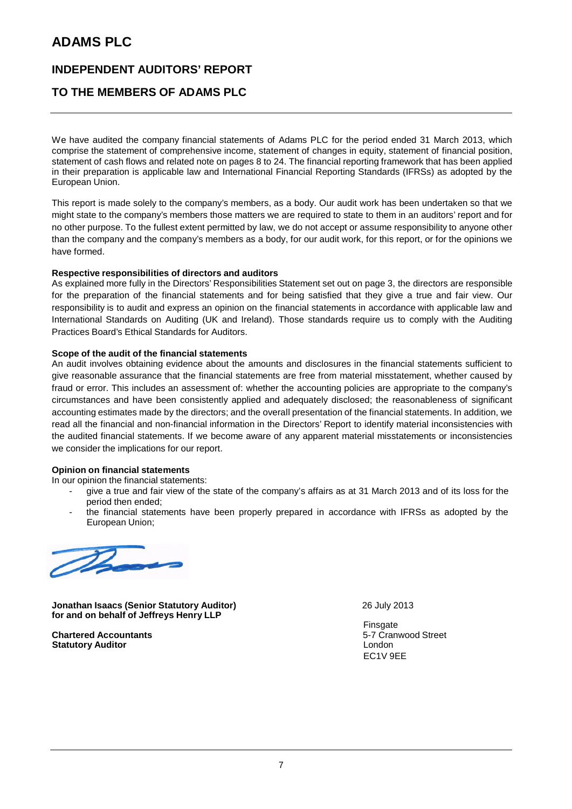### **INDEPENDENT AUDITORS' REPORT**

### **TO THE MEMBERS OF ADAMS PLC**

We have audited the company financial statements of Adams PLC for the period ended 31 March 2013, which comprise the statement of comprehensive income, statement of changes in equity, statement of financial position, statement of cash flows and related note on pages 8 to 24. The financial reporting framework that has been applied in their preparation is applicable law and International Financial Reporting Standards (IFRSs) as adopted by the European Union.

This report is made solely to the company's members, as a body. Our audit work has been undertaken so that we might state to the company's members those matters we are required to state to them in an auditors' report and for no other purpose. To the fullest extent permitted by law, we do not accept or assume responsibility to anyone other than the company and the company's members as a body, for our audit work, for this report, or for the opinions we have formed.

#### **Respective responsibilities of directors and auditors**

As explained more fully in the Directors' Responsibilities Statement set out on page 3, the directors are responsible for the preparation of the financial statements and for being satisfied that they give a true and fair view. Our responsibility is to audit and express an opinion on the financial statements in accordance with applicable law and International Standards on Auditing (UK and Ireland). Those standards require us to comply with the Auditing Practices Board's Ethical Standards for Auditors.

#### **Scope of the audit of the financial statements**

An audit involves obtaining evidence about the amounts and disclosures in the financial statements sufficient to give reasonable assurance that the financial statements are free from material misstatement, whether caused by fraud or error. This includes an assessment of: whether the accounting policies are appropriate to the company's circumstances and have been consistently applied and adequately disclosed; the reasonableness of significant accounting estimates made by the directors; and the overall presentation of the financial statements. In addition, we read all the financial and non-financial information in the Directors' Report to identify material inconsistencies with the audited financial statements. If we become aware of any apparent material misstatements or inconsistencies we consider the implications for our report.

#### **Opinion on financial statements**

In our opinion the financial statements:

- give a true and fair view of the state of the company's affairs as at 31 March 2013 and of its loss for the period then ended;
- the financial statements have been properly prepared in accordance with IFRSs as adopted by the European Union;



**Jonathan Isaacs (Senior Statutory Auditor)** 26 July 2013 **for and on behalf of Jeffreys Henry LLP**

**Chartered Accountants** 5-7 Cranwood Street Street Street Street Street Street Street Street Street Street Street Street Street Street Street Street Street Street Street Street Street Street Street Street Street Street Str **Statutory Auditor** 

Finsgate<br>5-7 Cranwood Street EC1V 9EE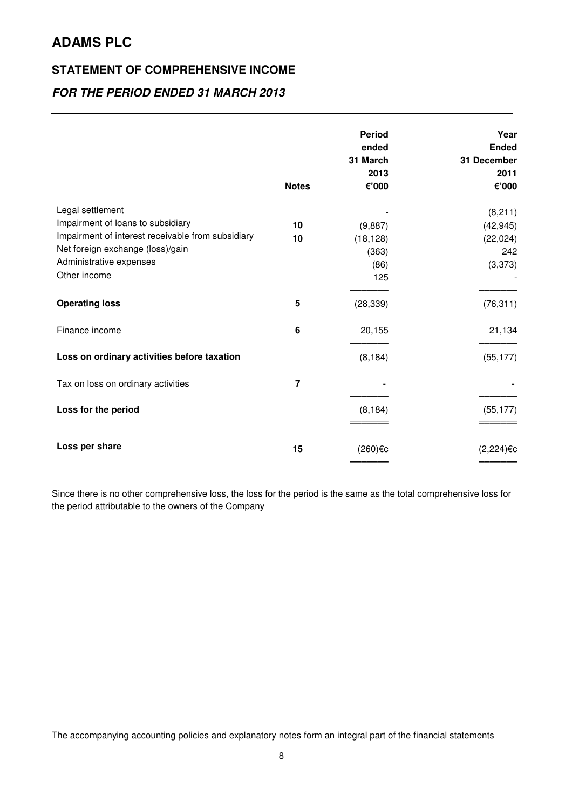# **STATEMENT OF COMPREHENSIVE INCOME**

## **FOR THE PERIOD ENDED 31 MARCH 2013**

|                                                   |              | <b>Period</b> | Year         |
|---------------------------------------------------|--------------|---------------|--------------|
|                                                   |              | ended         | <b>Ended</b> |
|                                                   |              | 31 March      | 31 December  |
|                                                   |              | 2013          | 2011         |
|                                                   | <b>Notes</b> | €'000         | €'000        |
| Legal settlement                                  |              |               | (8,211)      |
| Impairment of loans to subsidiary                 | 10           | (9,887)       | (42, 945)    |
| Impairment of interest receivable from subsidiary | 10           | (18, 128)     | (22, 024)    |
| Net foreign exchange (loss)/gain                  |              | (363)         | 242          |
| Administrative expenses                           |              | (86)          | (3,373)      |
| Other income                                      |              | 125           |              |
|                                                   |              |               |              |
| <b>Operating loss</b>                             | 5            | (28, 339)     | (76, 311)    |
| Finance income                                    | 6            | 20,155        | 21,134       |
| Loss on ordinary activities before taxation       |              | (8, 184)      | (55, 177)    |
| Tax on loss on ordinary activities                | 7            |               |              |
| Loss for the period                               |              | (8, 184)      | (55, 177)    |
|                                                   |              |               |              |
| Loss per share                                    | 15           | (260)€c       | (2,224)€c    |

Since there is no other comprehensive loss, the loss for the period is the same as the total comprehensive loss for the period attributable to the owners of the Company

The accompanying accounting policies and explanatory notes form an integral part of the financial statements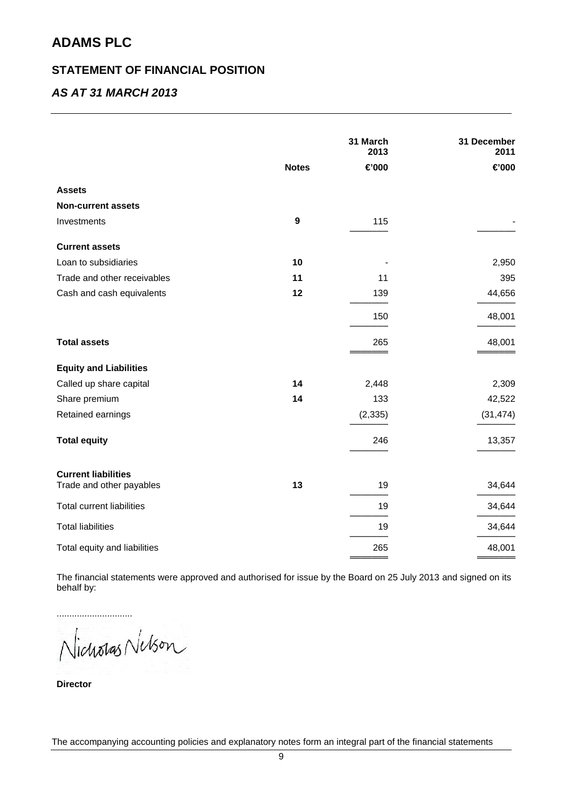### **STATEMENT OF FINANCIAL POSITION**

## *AS AT 31 MARCH 2013*

|                                                        |                  | 31 March<br>2013 | 31 December<br>2011 |
|--------------------------------------------------------|------------------|------------------|---------------------|
|                                                        | <b>Notes</b>     | €000             | €000                |
| <b>Assets</b>                                          |                  |                  |                     |
| <b>Non-current assets</b>                              |                  |                  |                     |
| Investments                                            | $\boldsymbol{9}$ | 115              |                     |
| <b>Current assets</b>                                  |                  |                  |                     |
| Loan to subsidiaries                                   | 10               |                  | 2,950               |
| Trade and other receivables                            | 11               | 11               | 395                 |
| Cash and cash equivalents                              | 12               | 139              | 44,656              |
|                                                        |                  | 150              | 48,001              |
| <b>Total assets</b>                                    |                  | 265              | 48,001              |
| <b>Equity and Liabilities</b>                          |                  |                  |                     |
| Called up share capital                                | 14               | 2,448            | 2,309               |
| Share premium                                          | 14               | 133              | 42,522              |
| Retained earnings                                      |                  | (2, 335)         | (31, 474)           |
| <b>Total equity</b>                                    |                  | 246              | 13,357              |
| <b>Current liabilities</b><br>Trade and other payables | 13               | 19               | 34,644              |
|                                                        |                  |                  |                     |
| <b>Total current liabilities</b>                       |                  | 19               | 34,644              |
| <b>Total liabilities</b>                               |                  | 19               | 34,644              |
| Total equity and liabilities                           |                  | 265              | 48,001              |

The financial statements were approved and authorised for issue by the Board on 25 July 2013 and signed on its behalf by:

.............................. Nicholas Nelson

**Director**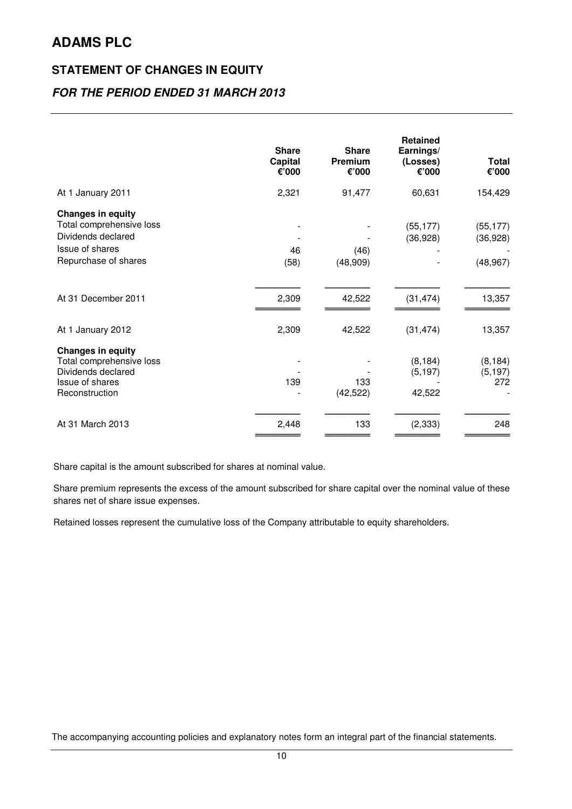## **STATEMENT OF CHANGES IN EQUITY**

## **FOR THE PERIOD ENDED 31 MARCH 2013**

|                                                                                                                       | <b>Share</b><br>Capital<br>€'000 | <b>Share</b><br>Premium<br>€'000 | <b>Retained</b><br>Earnings/<br>(Losses)<br>€'000 | <b>Total</b><br>€'000               |
|-----------------------------------------------------------------------------------------------------------------------|----------------------------------|----------------------------------|---------------------------------------------------|-------------------------------------|
| At 1 January 2011                                                                                                     | 2,321                            | 91,477                           | 60,631                                            | 154,429                             |
| <b>Changes in equity</b><br>Total comprehensive loss<br>Dividends declared<br>Issue of shares<br>Repurchase of shares | 46<br>(58)                       | (46)<br>(48,909)                 | (55, 177)<br>(36, 928)                            | (55, 177)<br>(36, 928)<br>(48, 967) |
| At 31 December 2011                                                                                                   | 2,309                            | 42,522                           | (31, 474)                                         | 13,357                              |
| At 1 January 2012                                                                                                     | 2,309                            | 42,522                           | (31, 474)                                         | 13,357                              |
| <b>Changes in equity</b><br>Total comprehensive loss<br>Dividends declared<br>Issue of shares<br>Reconstruction       | 139                              | 133<br>(42, 522)                 | (8, 184)<br>(5, 197)<br>42,522                    | (8, 184)<br>(5, 197)<br>272         |
| At 31 March 2013                                                                                                      | 2,448                            | 133                              | (2, 333)                                          | 248                                 |

Share capital is the amount subscribed for shares at nominal value.

Share premium represents the excess of the amount subscribed for share capital over the nominal value of these shares net of share issue expenses.

Retained losses represent the cumulative loss of the Company attributable to equity shareholders.

The accompanying accounting policies and explanatory notes form an integral part of the financial statements.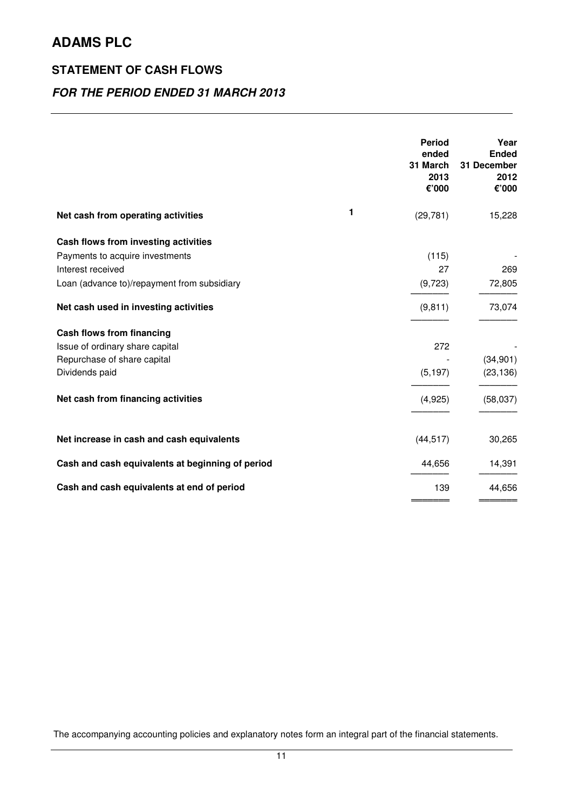## **STATEMENT OF CASH FLOWS**

## **FOR THE PERIOD ENDED 31 MARCH 2013**

|                                                  |   | <b>Period</b><br>ended<br>31 March<br>2013<br>€'000 | Year<br><b>Ended</b><br>31 December<br>2012<br>€'000 |
|--------------------------------------------------|---|-----------------------------------------------------|------------------------------------------------------|
| Net cash from operating activities               | 1 | (29, 781)                                           | 15,228                                               |
| Cash flows from investing activities             |   |                                                     |                                                      |
| Payments to acquire investments                  |   | (115)                                               |                                                      |
| Interest received                                |   | 27                                                  | 269                                                  |
| Loan (advance to)/repayment from subsidiary      |   | (9,723)                                             | 72,805                                               |
| Net cash used in investing activities            |   | (9,811)                                             | 73,074                                               |
| <b>Cash flows from financing</b>                 |   |                                                     |                                                      |
| Issue of ordinary share capital                  |   | 272                                                 |                                                      |
| Repurchase of share capital                      |   |                                                     | (34, 901)                                            |
| Dividends paid                                   |   | (5, 197)                                            | (23, 136)                                            |
| Net cash from financing activities               |   | (4,925)                                             | (58,037)                                             |
| Net increase in cash and cash equivalents        |   | (44, 517)                                           | 30,265                                               |
| Cash and cash equivalents at beginning of period |   | 44,656                                              | 14,391                                               |
| Cash and cash equivalents at end of period       |   | 139                                                 | 44,656                                               |
|                                                  |   |                                                     |                                                      |

The accompanying accounting policies and explanatory notes form an integral part of the financial statements.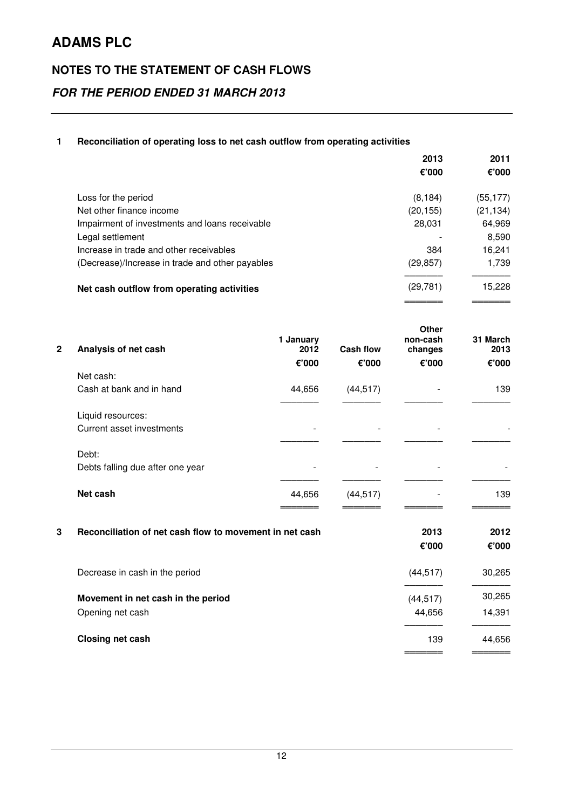# **NOTES TO THE STATEMENT OF CASH FLOWS FOR THE PERIOD ENDED 31 MARCH 2013**

#### **1 Reconciliation of operating loss to net cash outflow from operating activities**

|                                                 | 2013      | 2011      |
|-------------------------------------------------|-----------|-----------|
|                                                 | €'000     | €'000     |
| Loss for the period                             | (8, 184)  | (55, 177) |
| Net other finance income                        | (20, 155) | (21, 134) |
| Impairment of investments and loans receivable  | 28,031    | 64,969    |
| Legal settlement                                |           | 8,590     |
| Increase in trade and other receivables         | 384       | 16.241    |
| (Decrease)/Increase in trade and other payables | (29, 857) | 1.739     |
| Net cash outflow from operating activities      | (29, 781) | 15.228    |
|                                                 |           |           |

| 2 | Analysis of net cash             | 1 January<br>2012 | <b>Cash flow</b>         | Other<br>non-cash<br>changes | 31 March<br>2013 |
|---|----------------------------------|-------------------|--------------------------|------------------------------|------------------|
|   |                                  | €'000             | €'000                    | €'000                        | €'000            |
|   | Net cash:                        |                   |                          |                              |                  |
|   | Cash at bank and in hand         | 44,656            | (44, 517)                |                              | 139              |
|   |                                  |                   |                          |                              |                  |
|   | Liquid resources:                |                   |                          |                              |                  |
|   | Current asset investments        |                   |                          |                              |                  |
|   |                                  |                   |                          |                              |                  |
|   | Debt:                            |                   |                          |                              |                  |
|   | Debts falling due after one year | -                 | $\overline{\phantom{a}}$ | ۰                            |                  |
|   |                                  |                   |                          |                              |                  |
|   | Net cash                         | 44,656            | (44, 517)                |                              | 139              |
|   |                                  |                   |                          |                              |                  |
|   |                                  |                   |                          |                              |                  |

| 3 | Reconciliation of net cash flow to movement in net cash | 2013      | 2012   |
|---|---------------------------------------------------------|-----------|--------|
|   |                                                         | €'000     | €'000  |
|   | Decrease in cash in the period                          | (44, 517) | 30,265 |
|   | Movement in net cash in the period                      | (44, 517) | 30,265 |
|   | Opening net cash                                        | 44,656    | 14,391 |
|   | Closing net cash                                        | 139       | 44,656 |
|   |                                                         |           |        |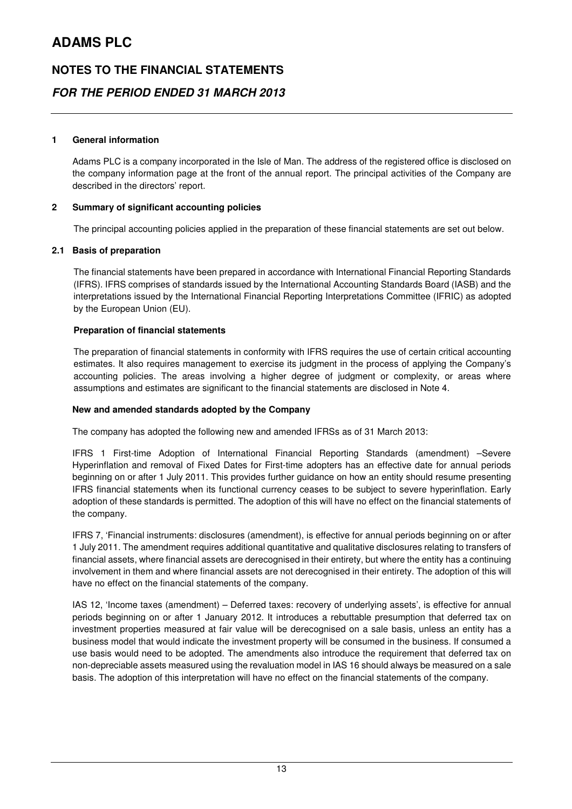## **NOTES TO THE FINANCIAL STATEMENTS**

### **FOR THE PERIOD ENDED 31 MARCH 2013**

#### **1 General information**

Adams PLC is a company incorporated in the Isle of Man. The address of the registered office is disclosed on the company information page at the front of the annual report. The principal activities of the Company are described in the directors' report.

#### **2 Summary of significant accounting policies**

The principal accounting policies applied in the preparation of these financial statements are set out below.

#### **2.1 Basis of preparation**

 The financial statements have been prepared in accordance with International Financial Reporting Standards (IFRS). IFRS comprises of standards issued by the International Accounting Standards Board (IASB) and the interpretations issued by the International Financial Reporting Interpretations Committee (IFRIC) as adopted by the European Union (EU).

#### **Preparation of financial statements**

 The preparation of financial statements in conformity with IFRS requires the use of certain critical accounting estimates. It also requires management to exercise its judgment in the process of applying the Company's accounting policies. The areas involving a higher degree of judgment or complexity, or areas where assumptions and estimates are significant to the financial statements are disclosed in Note 4.

#### **New and amended standards adopted by the Company**

The company has adopted the following new and amended IFRSs as of 31 March 2013:

IFRS 1 First-time Adoption of International Financial Reporting Standards (amendment) –Severe Hyperinflation and removal of Fixed Dates for First-time adopters has an effective date for annual periods beginning on or after 1 July 2011. This provides further guidance on how an entity should resume presenting IFRS financial statements when its functional currency ceases to be subject to severe hyperinflation. Early adoption of these standards is permitted. The adoption of this will have no effect on the financial statements of the company.

IFRS 7, 'Financial instruments: disclosures (amendment), is effective for annual periods beginning on or after 1 July 2011. The amendment requires additional quantitative and qualitative disclosures relating to transfers of financial assets, where financial assets are derecognised in their entirety, but where the entity has a continuing involvement in them and where financial assets are not derecognised in their entirety. The adoption of this will have no effect on the financial statements of the company.

IAS 12, 'Income taxes (amendment) – Deferred taxes: recovery of underlying assets', is effective for annual periods beginning on or after 1 January 2012. It introduces a rebuttable presumption that deferred tax on investment properties measured at fair value will be derecognised on a sale basis, unless an entity has a business model that would indicate the investment property will be consumed in the business. If consumed a use basis would need to be adopted. The amendments also introduce the requirement that deferred tax on non-depreciable assets measured using the revaluation model in IAS 16 should always be measured on a sale basis. The adoption of this interpretation will have no effect on the financial statements of the company.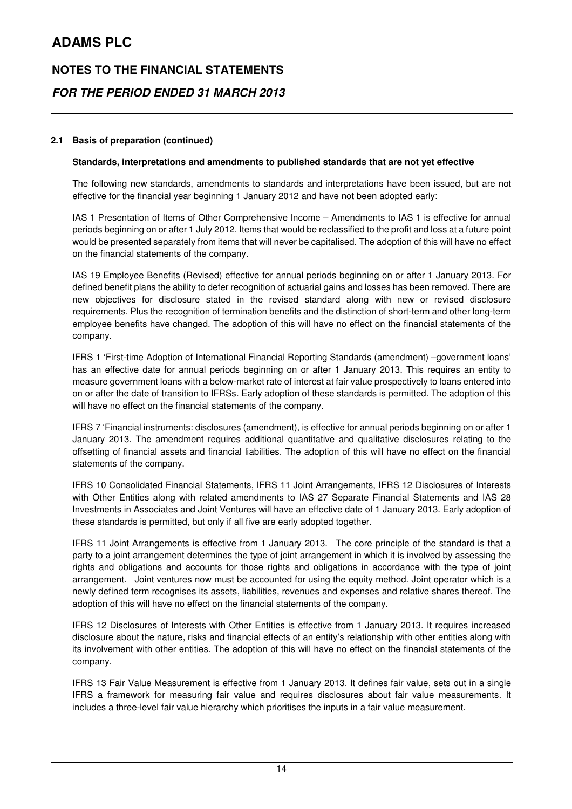# **NOTES TO THE FINANCIAL STATEMENTS FOR THE PERIOD ENDED 31 MARCH 2013**

#### **2.1 Basis of preparation (continued)**

#### **Standards, interpretations and amendments to published standards that are not yet effective**

The following new standards, amendments to standards and interpretations have been issued, but are not effective for the financial year beginning 1 January 2012 and have not been adopted early:

IAS 1 Presentation of Items of Other Comprehensive Income – Amendments to IAS 1 is effective for annual periods beginning on or after 1 July 2012. Items that would be reclassified to the profit and loss at a future point would be presented separately from items that will never be capitalised. The adoption of this will have no effect on the financial statements of the company.

IAS 19 Employee Benefits (Revised) effective for annual periods beginning on or after 1 January 2013. For defined benefit plans the ability to defer recognition of actuarial gains and losses has been removed. There are new objectives for disclosure stated in the revised standard along with new or revised disclosure requirements. Plus the recognition of termination benefits and the distinction of short-term and other long-term employee benefits have changed. The adoption of this will have no effect on the financial statements of the company.

IFRS 1 'First-time Adoption of International Financial Reporting Standards (amendment) –government loans' has an effective date for annual periods beginning on or after 1 January 2013. This requires an entity to measure government loans with a below-market rate of interest at fair value prospectively to loans entered into on or after the date of transition to IFRSs. Early adoption of these standards is permitted. The adoption of this will have no effect on the financial statements of the company.

IFRS 7 'Financial instruments: disclosures (amendment), is effective for annual periods beginning on or after 1 January 2013. The amendment requires additional quantitative and qualitative disclosures relating to the offsetting of financial assets and financial liabilities. The adoption of this will have no effect on the financial statements of the company.

IFRS 10 Consolidated Financial Statements, IFRS 11 Joint Arrangements, IFRS 12 Disclosures of Interests with Other Entities along with related amendments to IAS 27 Separate Financial Statements and IAS 28 Investments in Associates and Joint Ventures will have an effective date of 1 January 2013. Early adoption of these standards is permitted, but only if all five are early adopted together.

IFRS 11 Joint Arrangements is effective from 1 January 2013. The core principle of the standard is that a party to a joint arrangement determines the type of joint arrangement in which it is involved by assessing the rights and obligations and accounts for those rights and obligations in accordance with the type of joint arrangement. Joint ventures now must be accounted for using the equity method. Joint operator which is a newly defined term recognises its assets, liabilities, revenues and expenses and relative shares thereof. The adoption of this will have no effect on the financial statements of the company.

IFRS 12 Disclosures of Interests with Other Entities is effective from 1 January 2013. It requires increased disclosure about the nature, risks and financial effects of an entity's relationship with other entities along with its involvement with other entities. The adoption of this will have no effect on the financial statements of the company.

IFRS 13 Fair Value Measurement is effective from 1 January 2013. It defines fair value, sets out in a single IFRS a framework for measuring fair value and requires disclosures about fair value measurements. It includes a three-level fair value hierarchy which prioritises the inputs in a fair value measurement.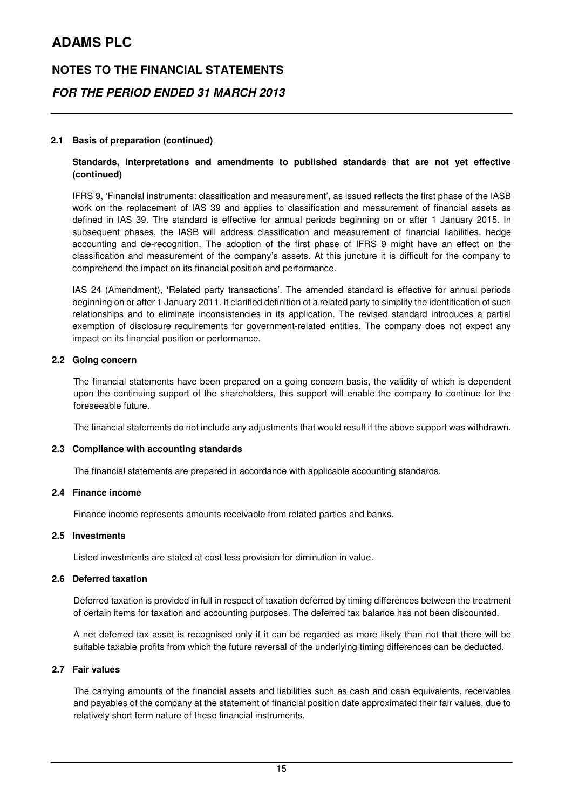### **NOTES TO THE FINANCIAL STATEMENTS**

### **FOR THE PERIOD ENDED 31 MARCH 2013**

#### **2.1 Basis of preparation (continued)**

#### **Standards, interpretations and amendments to published standards that are not yet effective (continued)**

IFRS 9, 'Financial instruments: classification and measurement', as issued reflects the first phase of the IASB work on the replacement of IAS 39 and applies to classification and measurement of financial assets as defined in IAS 39. The standard is effective for annual periods beginning on or after 1 January 2015. In subsequent phases, the IASB will address classification and measurement of financial liabilities, hedge accounting and de-recognition. The adoption of the first phase of IFRS 9 might have an effect on the classification and measurement of the company's assets. At this juncture it is difficult for the company to comprehend the impact on its financial position and performance.

IAS 24 (Amendment), 'Related party transactions'. The amended standard is effective for annual periods beginning on or after 1 January 2011. It clarified definition of a related party to simplify the identification of such relationships and to eliminate inconsistencies in its application. The revised standard introduces a partial exemption of disclosure requirements for government-related entities. The company does not expect any impact on its financial position or performance.

#### **2.2 Going concern**

The financial statements have been prepared on a going concern basis, the validity of which is dependent upon the continuing support of the shareholders, this support will enable the company to continue for the foreseeable future.

The financial statements do not include any adjustments that would result if the above support was withdrawn.

#### **2.3 Compliance with accounting standards**

The financial statements are prepared in accordance with applicable accounting standards.

#### **2.4 Finance income**

Finance income represents amounts receivable from related parties and banks.

#### **2.5 Investments**

Listed investments are stated at cost less provision for diminution in value.

#### **2.6 Deferred taxation**

Deferred taxation is provided in full in respect of taxation deferred by timing differences between the treatment of certain items for taxation and accounting purposes. The deferred tax balance has not been discounted.

A net deferred tax asset is recognised only if it can be regarded as more likely than not that there will be suitable taxable profits from which the future reversal of the underlying timing differences can be deducted.

#### **2.7 Fair values**

The carrying amounts of the financial assets and liabilities such as cash and cash equivalents, receivables and payables of the company at the statement of financial position date approximated their fair values, due to relatively short term nature of these financial instruments.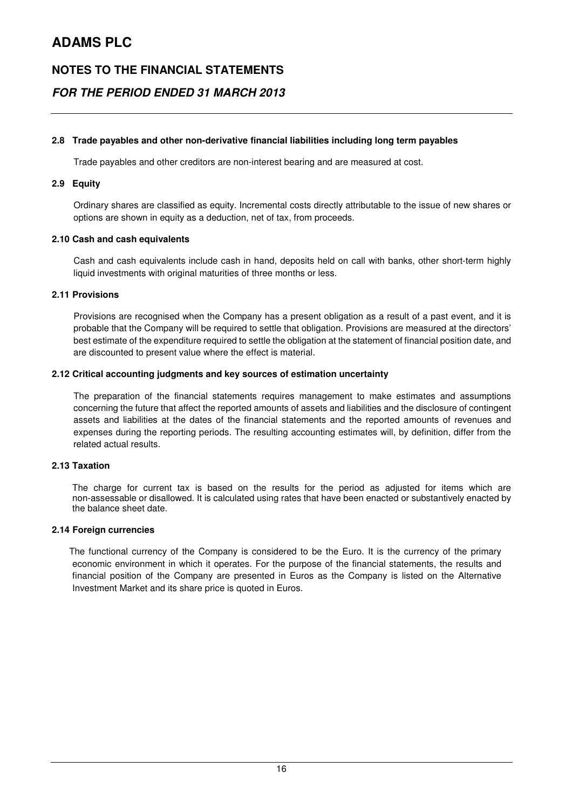## **NOTES TO THE FINANCIAL STATEMENTS**

## **FOR THE PERIOD ENDED 31 MARCH 2013**

#### **2.8 Trade payables and other non-derivative financial liabilities including long term payables**

Trade payables and other creditors are non-interest bearing and are measured at cost.

#### **2.9 Equity**

 Ordinary shares are classified as equity. Incremental costs directly attributable to the issue of new shares or options are shown in equity as a deduction, net of tax, from proceeds.

#### **2.10 Cash and cash equivalents**

 Cash and cash equivalents include cash in hand, deposits held on call with banks, other short-term highly liquid investments with original maturities of three months or less.

#### **2.11 Provisions**

 Provisions are recognised when the Company has a present obligation as a result of a past event, and it is probable that the Company will be required to settle that obligation. Provisions are measured at the directors' best estimate of the expenditure required to settle the obligation at the statement of financial position date, and are discounted to present value where the effect is material.

#### **2.12 Critical accounting judgments and key sources of estimation uncertainty**

 The preparation of the financial statements requires management to make estimates and assumptions concerning the future that affect the reported amounts of assets and liabilities and the disclosure of contingent assets and liabilities at the dates of the financial statements and the reported amounts of revenues and expenses during the reporting periods. The resulting accounting estimates will, by definition, differ from the related actual results.

#### **2.13 Taxation**

The charge for current tax is based on the results for the period as adjusted for items which are non-assessable or disallowed. It is calculated using rates that have been enacted or substantively enacted by the balance sheet date.

#### **2.14 Foreign currencies**

 The functional currency of the Company is considered to be the Euro. It is the currency of the primary economic environment in which it operates. For the purpose of the financial statements, the results and financial position of the Company are presented in Euros as the Company is listed on the Alternative Investment Market and its share price is quoted in Euros.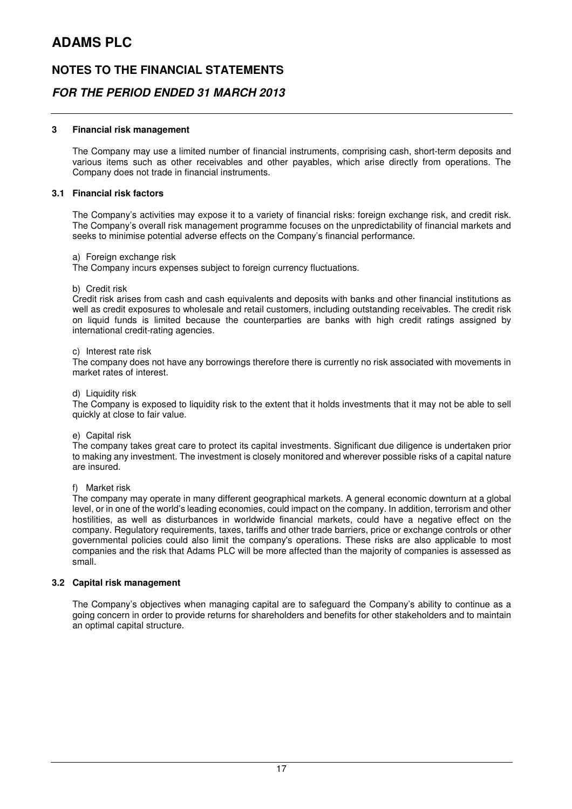## **NOTES TO THE FINANCIAL STATEMENTS**

### **FOR THE PERIOD ENDED 31 MARCH 2013**

#### **3 Financial risk management**

The Company may use a limited number of financial instruments, comprising cash, short-term deposits and various items such as other receivables and other payables, which arise directly from operations. The Company does not trade in financial instruments.

#### **3.1 Financial risk factors**

The Company's activities may expose it to a variety of financial risks: foreign exchange risk, and credit risk. The Company's overall risk management programme focuses on the unpredictability of financial markets and seeks to minimise potential adverse effects on the Company's financial performance.

a) Foreign exchange risk

The Company incurs expenses subject to foreign currency fluctuations.

#### b) Credit risk

Credit risk arises from cash and cash equivalents and deposits with banks and other financial institutions as well as credit exposures to wholesale and retail customers, including outstanding receivables. The credit risk on liquid funds is limited because the counterparties are banks with high credit ratings assigned by international credit-rating agencies.

#### c) Interest rate risk

The company does not have any borrowings therefore there is currently no risk associated with movements in market rates of interest.

#### d) Liquidity risk

The Company is exposed to liquidity risk to the extent that it holds investments that it may not be able to sell quickly at close to fair value.

#### e) Capital risk

The company takes great care to protect its capital investments. Significant due diligence is undertaken prior to making any investment. The investment is closely monitored and wherever possible risks of a capital nature are insured.

f) Market risk

The company may operate in many different geographical markets. A general economic downturn at a global level, or in one of the world's leading economies, could impact on the company. In addition, terrorism and other hostilities, as well as disturbances in worldwide financial markets, could have a negative effect on the company. Regulatory requirements, taxes, tariffs and other trade barriers, price or exchange controls or other governmental policies could also limit the company's operations. These risks are also applicable to most companies and the risk that Adams PLC will be more affected than the majority of companies is assessed as small.

#### **3.2 Capital risk management**

The Company's objectives when managing capital are to safeguard the Company's ability to continue as a going concern in order to provide returns for shareholders and benefits for other stakeholders and to maintain an optimal capital structure.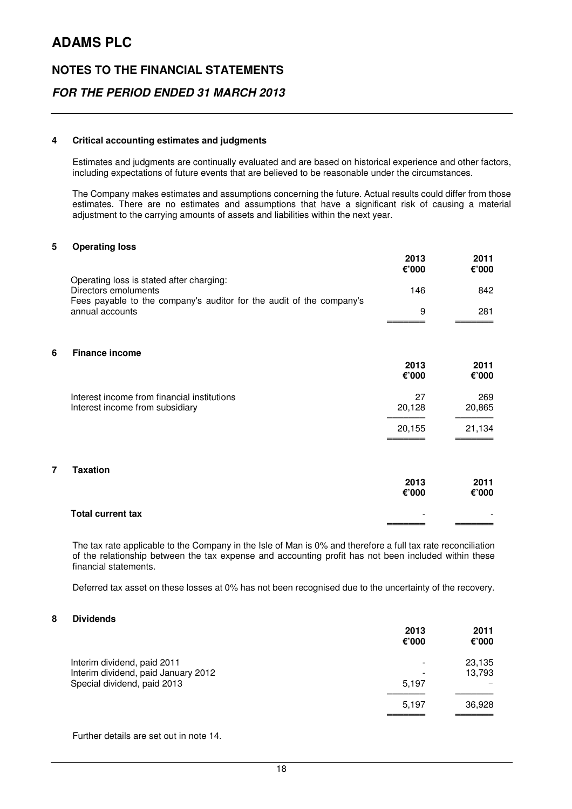## **NOTES TO THE FINANCIAL STATEMENTS**

### **FOR THE PERIOD ENDED 31 MARCH 2013**

#### **4 Critical accounting estimates and judgments**

Estimates and judgments are continually evaluated and are based on historical experience and other factors, including expectations of future events that are believed to be reasonable under the circumstances.

The Company makes estimates and assumptions concerning the future. Actual results could differ from those estimates. There are no estimates and assumptions that have a significant risk of causing a material adjustment to the carrying amounts of assets and liabilities within the next year.

#### **5 Operating loss**

|                                                                                                                                          | 2013<br>€'000 | 2011<br>€'000 |
|------------------------------------------------------------------------------------------------------------------------------------------|---------------|---------------|
| Operating loss is stated after charging:<br>Directors emoluments<br>Fees payable to the company's auditor for the audit of the company's | 146           | 842           |
| annual accounts                                                                                                                          | 9             | 281           |
| 6<br><b>Finance income</b>                                                                                                               |               |               |
|                                                                                                                                          | 2013<br>€'000 | 2011<br>€'000 |
| Interest income from financial institutions<br>Interest income from subsidiary                                                           | 27<br>20,128  | 269<br>20,865 |
|                                                                                                                                          | 20,155        | 21,134        |
| <b>Taxation</b><br>7                                                                                                                     |               |               |
|                                                                                                                                          | 2013<br>€'000 | 2011<br>€'000 |
| <b>Total current tax</b>                                                                                                                 |               |               |

The tax rate applicable to the Company in the Isle of Man is 0% and therefore a full tax rate reconciliation of the relationship between the tax expense and accounting profit has not been included within these financial statements.

Deferred tax asset on these losses at 0% has not been recognised due to the uncertainty of the recovery.

#### **8 Dividends**

|                                                                    | 2013<br>€'000 | 2011<br>€'000    |
|--------------------------------------------------------------------|---------------|------------------|
| Interim dividend, paid 2011<br>Interim dividend, paid January 2012 |               | 23,135<br>13,793 |
| Special dividend, paid 2013                                        | 5.197         |                  |
|                                                                    | 5,197         | 36,928           |

Further details are set out in note 14.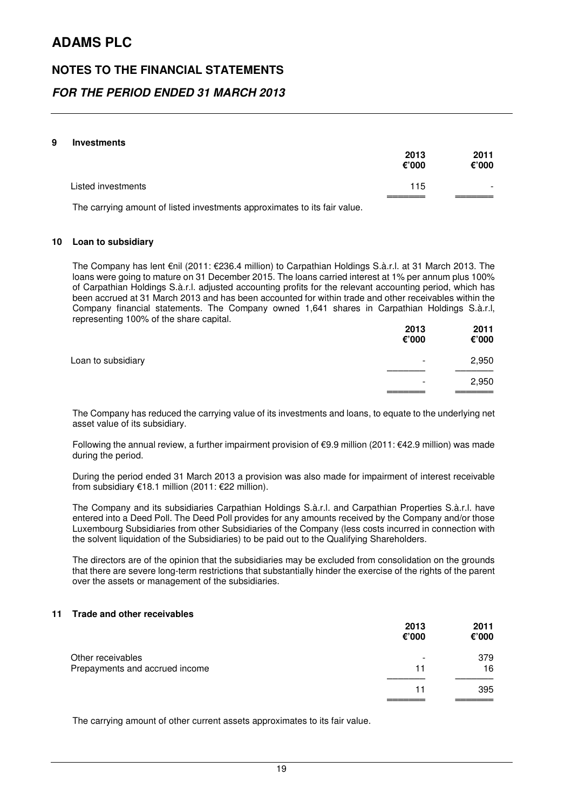# **NOTES TO THE FINANCIAL STATEMENTS FOR THE PERIOD ENDED 31 MARCH 2013**

#### **9 Investments**

|                                                                                  | 2013<br>€'000 | 2011<br>€'000 |
|----------------------------------------------------------------------------------|---------------|---------------|
| Listed investments                                                               | 115           | $\sim$        |
| 그 그는 그 사람들은 그 사람들을 하고 있는 것을 하고 있는 것을 하고 있는 것을 하고 있다. 그는 사람들은 어디에 대해 있는 것을 하고 있다. |               |               |

The carrying amount of listed investments approximates to its fair value.

#### **10 Loan to subsidiary**

The Company has lent €nil (2011: €236.4 million) to Carpathian Holdings S.à.r.l. at 31 March 2013. The loans were going to mature on 31 December 2015. The loans carried interest at 1% per annum plus 100% of Carpathian Holdings S.à.r.l. adjusted accounting profits for the relevant accounting period, which has been accrued at 31 March 2013 and has been accounted for within trade and other receivables within the Company financial statements. The Company owned 1,641 shares in Carpathian Holdings S.à.r.l, representing 100% of the share capital.

| 2013<br>€'000 | 2011<br>€'000 |
|---------------|---------------|
| -             | 2,950         |
| $\,$          | 2,950         |
|               |               |

The Company has reduced the carrying value of its investments and loans, to equate to the underlying net asset value of its subsidiary.

Following the annual review, a further impairment provision of €9.9 million (2011: €42.9 million) was made during the period.

During the period ended 31 March 2013 a provision was also made for impairment of interest receivable from subsidiary €18.1 million (2011: €22 million).

The Company and its subsidiaries Carpathian Holdings S.à.r.l. and Carpathian Properties S.à.r.l. have entered into a Deed Poll. The Deed Poll provides for any amounts received by the Company and/or those Luxembourg Subsidiaries from other Subsidiaries of the Company (less costs incurred in connection with the solvent liquidation of the Subsidiaries) to be paid out to the Qualifying Shareholders.

The directors are of the opinion that the subsidiaries may be excluded from consolidation on the grounds that there are severe long-term restrictions that substantially hinder the exercise of the rights of the parent over the assets or management of the subsidiaries.

#### **11 Trade and other receivables**

|                                                     | 2013<br>€'000 | 2011<br>€'000 |
|-----------------------------------------------------|---------------|---------------|
| Other receivables<br>Prepayments and accrued income | 11            | 379<br>16     |
|                                                     | 11            | 395           |

The carrying amount of other current assets approximates to its fair value.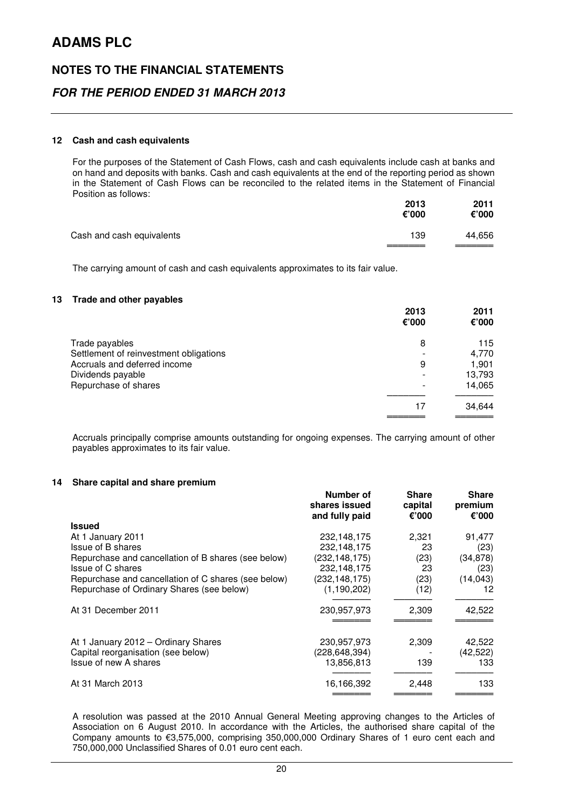### **NOTES TO THE FINANCIAL STATEMENTS**

### **FOR THE PERIOD ENDED 31 MARCH 2013**

#### **12 Cash and cash equivalents**

For the purposes of the Statement of Cash Flows, cash and cash equivalents include cash at banks and on hand and deposits with banks. Cash and cash equivalents at the end of the reporting period as shown in the Statement of Cash Flows can be reconciled to the related items in the Statement of Financial Position as follows:

|                           | 2013<br>€'000 | 2011<br>€'000 |
|---------------------------|---------------|---------------|
| Cash and cash equivalents | 139           | 44.656        |

The carrying amount of cash and cash equivalents approximates to its fair value.

#### **13 Trade and other payables**

|                                        | 2013<br>€'000 | 2011<br>€'000 |
|----------------------------------------|---------------|---------------|
| Trade payables                         | 8             | 115           |
| Settlement of reinvestment obligations |               | 4,770         |
| Accruals and deferred income           | 9             | 1,901         |
| Dividends payable                      |               | 13,793        |
| Repurchase of shares                   |               | 14,065        |
|                                        | 17            | 34,644        |
|                                        |               |               |

Accruals principally comprise amounts outstanding for ongoing expenses. The carrying amount of other payables approximates to its fair value.

#### **14 Share capital and share premium**

|                                                     | Number of<br>shares issued<br>and fully paid | <b>Share</b><br>capital<br>€'000 | <b>Share</b><br>premium<br>€'000 |
|-----------------------------------------------------|----------------------------------------------|----------------------------------|----------------------------------|
| <b>Issued</b>                                       |                                              |                                  |                                  |
| At 1 January 2011                                   | 232,148,175                                  | 2,321                            | 91,477                           |
| Issue of B shares                                   | 232,148,175                                  | 23                               | (23)                             |
| Repurchase and cancellation of B shares (see below) | (232, 148, 175)                              | (23)                             | (34, 878)                        |
| Issue of C shares                                   | 232,148,175                                  | 23                               | (23)                             |
| Repurchase and cancellation of C shares (see below) | (232, 148, 175)                              | (23)                             | (14, 043)                        |
| Repurchase of Ordinary Shares (see below)           | (1, 190, 202)                                | (12)                             | 12                               |
| At 31 December 2011                                 | 230,957,973                                  | 2,309                            | 42,522                           |
|                                                     |                                              |                                  |                                  |
| At 1 January 2012 - Ordinary Shares                 | 230,957,973                                  | 2,309                            | 42,522                           |
| Capital reorganisation (see below)                  | (228,648,394)                                |                                  | (42,522)                         |
| Issue of new A shares                               | 13,856,813                                   | 139                              | 133                              |
| At 31 March 2013                                    | 16,166,392                                   | 2,448                            | 133                              |
|                                                     |                                              |                                  |                                  |

A resolution was passed at the 2010 Annual General Meeting approving changes to the Articles of Association on 6 August 2010. In accordance with the Articles, the authorised share capital of the Company amounts to €3,575,000, comprising 350,000,000 Ordinary Shares of 1 euro cent each and 750,000,000 Unclassified Shares of 0.01 euro cent each.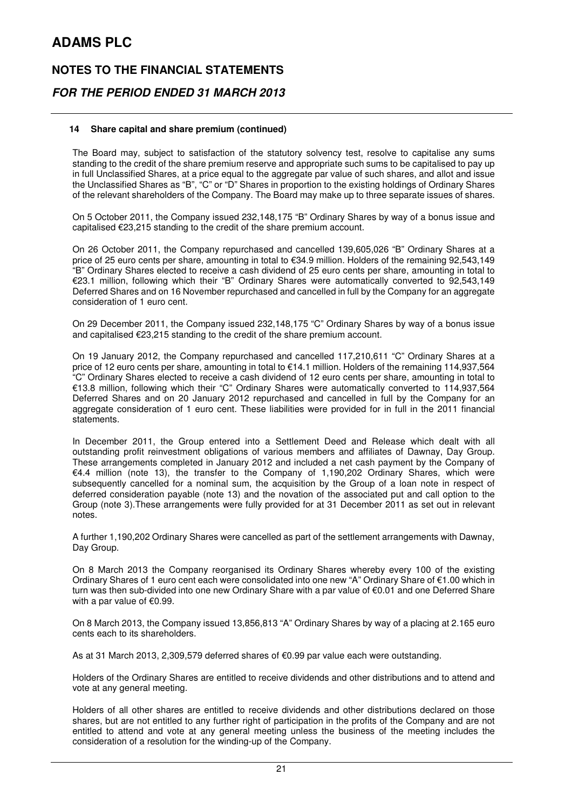## **NOTES TO THE FINANCIAL STATEMENTS**

## **FOR THE PERIOD ENDED 31 MARCH 2013**

#### **14 Share capital and share premium (continued)**

The Board may, subject to satisfaction of the statutory solvency test, resolve to capitalise any sums standing to the credit of the share premium reserve and appropriate such sums to be capitalised to pay up in full Unclassified Shares, at a price equal to the aggregate par value of such shares, and allot and issue the Unclassified Shares as "B", "C" or "D" Shares in proportion to the existing holdings of Ordinary Shares of the relevant shareholders of the Company. The Board may make up to three separate issues of shares.

On 5 October 2011, the Company issued 232,148,175 "B" Ordinary Shares by way of a bonus issue and capitalised €23,215 standing to the credit of the share premium account.

On 26 October 2011, the Company repurchased and cancelled 139,605,026 "B" Ordinary Shares at a price of 25 euro cents per share, amounting in total to €34.9 million. Holders of the remaining 92,543,149 "B" Ordinary Shares elected to receive a cash dividend of 25 euro cents per share, amounting in total to €23.1 million, following which their "B" Ordinary Shares were automatically converted to 92,543,149 Deferred Shares and on 16 November repurchased and cancelled in full by the Company for an aggregate consideration of 1 euro cent.

On 29 December 2011, the Company issued 232,148,175 "C" Ordinary Shares by way of a bonus issue and capitalised €23,215 standing to the credit of the share premium account.

On 19 January 2012, the Company repurchased and cancelled 117,210,611 "C" Ordinary Shares at a price of 12 euro cents per share, amounting in total to €14.1 million. Holders of the remaining 114,937,564 "C" Ordinary Shares elected to receive a cash dividend of 12 euro cents per share, amounting in total to €13.8 million, following which their "C" Ordinary Shares were automatically converted to 114,937,564 Deferred Shares and on 20 January 2012 repurchased and cancelled in full by the Company for an aggregate consideration of 1 euro cent. These liabilities were provided for in full in the 2011 financial statements.

In December 2011, the Group entered into a Settlement Deed and Release which dealt with all outstanding profit reinvestment obligations of various members and affiliates of Dawnay, Day Group. These arrangements completed in January 2012 and included a net cash payment by the Company of €4.4 million (note 13), the transfer to the Company of 1,190,202 Ordinary Shares, which were subsequently cancelled for a nominal sum, the acquisition by the Group of a loan note in respect of deferred consideration payable (note 13) and the novation of the associated put and call option to the Group (note 3).These arrangements were fully provided for at 31 December 2011 as set out in relevant notes.

A further 1,190,202 Ordinary Shares were cancelled as part of the settlement arrangements with Dawnay, Day Group.

On 8 March 2013 the Company reorganised its Ordinary Shares whereby every 100 of the existing Ordinary Shares of 1 euro cent each were consolidated into one new "A" Ordinary Share of €1.00 which in turn was then sub-divided into one new Ordinary Share with a par value of €0.01 and one Deferred Share with a par value of  $€0.99$ .

On 8 March 2013, the Company issued 13,856,813 "A" Ordinary Shares by way of a placing at 2.165 euro cents each to its shareholders.

As at 31 March 2013, 2,309,579 deferred shares of €0.99 par value each were outstanding.

Holders of the Ordinary Shares are entitled to receive dividends and other distributions and to attend and vote at any general meeting.

Holders of all other shares are entitled to receive dividends and other distributions declared on those shares, but are not entitled to any further right of participation in the profits of the Company and are not entitled to attend and vote at any general meeting unless the business of the meeting includes the consideration of a resolution for the winding-up of the Company.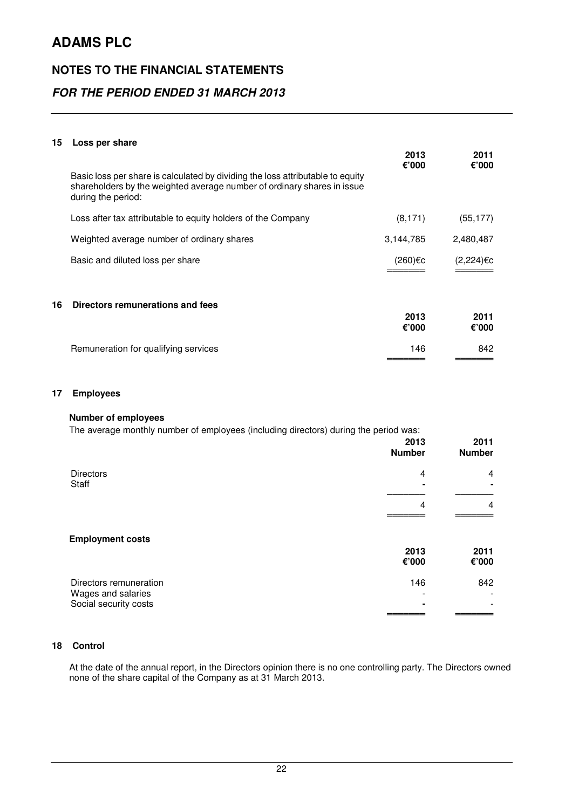## **NOTES TO THE FINANCIAL STATEMENTS**

### **FOR THE PERIOD ENDED 31 MARCH 2013**

#### **15 Loss per share**

|    |                                                                                                                                                                                 | 2013<br>€'000 | 2011<br>€'000 |
|----|---------------------------------------------------------------------------------------------------------------------------------------------------------------------------------|---------------|---------------|
|    | Basic loss per share is calculated by dividing the loss attributable to equity<br>shareholders by the weighted average number of ordinary shares in issue<br>during the period: |               |               |
|    | Loss after tax attributable to equity holders of the Company                                                                                                                    | (8, 171)      | (55, 177)     |
|    | Weighted average number of ordinary shares                                                                                                                                      | 3,144,785     | 2,480,487     |
|    | Basic and diluted loss per share                                                                                                                                                | (260)€c       | (2,224)€c     |
| 16 | Directors remunerations and fees                                                                                                                                                | 2013<br>€'000 | 2011<br>€'000 |
|    | Remuneration for qualifying services                                                                                                                                            | 146           | 842           |

#### **17 Employees**

#### **Number of employees**

The average monthly number of employees (including directors) during the period was:

|                         | 2013<br><b>Number</b> | 2011<br><b>Number</b> |
|-------------------------|-----------------------|-----------------------|
| <b>Directors</b>        | 4                     | 4                     |
| Staff                   |                       |                       |
|                         | 4                     | 4                     |
|                         |                       |                       |
| <b>Employment costs</b> |                       |                       |
|                         | 2013                  | 2011                  |
|                         | €'000                 | €'000                 |
| Directors remuneration  | 146                   | 842                   |
| Wages and salaries      |                       |                       |
| Social security costs   |                       |                       |

#### **18 Control**

At the date of the annual report, in the Directors opinion there is no one controlling party. The Directors owned none of the share capital of the Company as at 31 March 2013.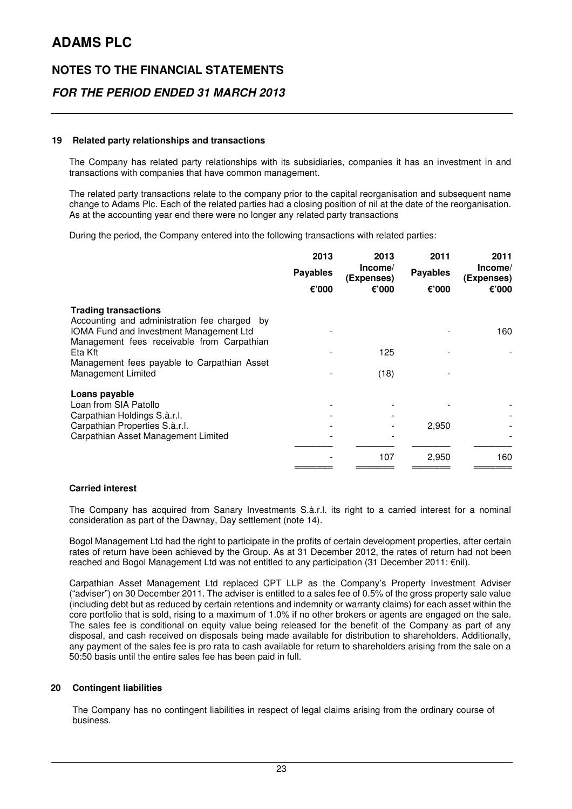## **NOTES TO THE FINANCIAL STATEMENTS**

### **FOR THE PERIOD ENDED 31 MARCH 2013**

#### **19 Related party relationships and transactions**

The Company has related party relationships with its subsidiaries, companies it has an investment in and transactions with companies that have common management.

The related party transactions relate to the company prior to the capital reorganisation and subsequent name change to Adams Plc. Each of the related parties had a closing position of nil at the date of the reorganisation. As at the accounting year end there were no longer any related party transactions

During the period, the Company entered into the following transactions with related parties:

| 2013            | 2013    | 2011            | 2011                  |
|-----------------|---------|-----------------|-----------------------|
| <b>Payables</b> | Income/ | <b>Payables</b> | Income/<br>(Expenses) |
| €'000           | €'000   | €'000           | €'000                 |
|                 |         |                 |                       |
|                 |         |                 | 160                   |
|                 | 125     |                 |                       |
|                 | (18)    |                 |                       |
|                 |         |                 |                       |
|                 |         |                 |                       |
|                 |         | 2,950           |                       |
|                 |         |                 |                       |
|                 | 107     | 2,950           | 160                   |
|                 |         | (Expenses)      |                       |

#### **Carried interest**

The Company has acquired from Sanary Investments S.à.r.l. its right to a carried interest for a nominal consideration as part of the Dawnay, Day settlement (note 14).

Bogol Management Ltd had the right to participate in the profits of certain development properties, after certain rates of return have been achieved by the Group. As at 31 December 2012, the rates of return had not been reached and Bogol Management Ltd was not entitled to any participation (31 December 2011:  $\epsilon$ nil).

Carpathian Asset Management Ltd replaced CPT LLP as the Company's Property Investment Adviser ("adviser") on 30 December 2011. The adviser is entitled to a sales fee of 0.5% of the gross property sale value (including debt but as reduced by certain retentions and indemnity or warranty claims) for each asset within the core portfolio that is sold, rising to a maximum of 1.0% if no other brokers or agents are engaged on the sale. The sales fee is conditional on equity value being released for the benefit of the Company as part of any disposal, and cash received on disposals being made available for distribution to shareholders. Additionally, any payment of the sales fee is pro rata to cash available for return to shareholders arising from the sale on a 50:50 basis until the entire sales fee has been paid in full.

#### **20 Contingent liabilities**

The Company has no contingent liabilities in respect of legal claims arising from the ordinary course of business.